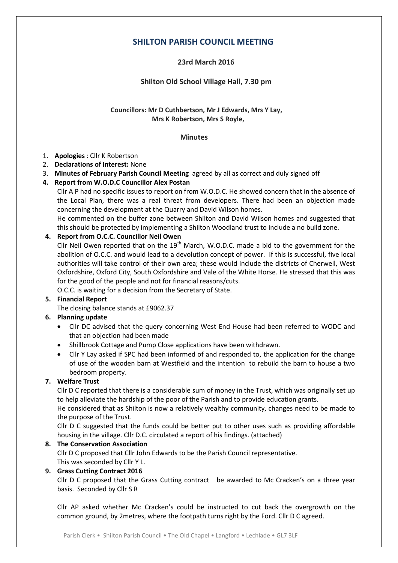# **SHILTON PARISH COUNCIL MEETING**

## **23rd March 2016**

## **Shilton Old School Village Hall, 7.30 pm**

#### **Councillors: Mr D Cuthbertson, Mr J Edwards, Mrs Y Lay, Mrs K Robertson, Mrs S Royle,**

#### **Minutes**

#### 1. **Apologies** : Cllr K Robertson

- 2. **Declarations of Interest:** None
- 3. **Minutes of February Parish Council Meeting** agreed by all as correct and duly signed off

## **4. Report from W.O.D.C Councillor Alex Postan**

Cllr A P had no specific issues to report on from W.O.D.C. He showed concern that in the absence of the Local Plan, there was a real threat from developers. There had been an objection made concerning the development at the Quarry and David Wilson homes.

He commented on the buffer zone between Shilton and David Wilson homes and suggested that this should be protected by implementing a Shilton Woodland trust to include a no build zone.

## **4. Report from O.C.C. Councillor Neil Owen**

Cllr Neil Owen reported that on the  $19<sup>th</sup>$  March, W.O.D.C. made a bid to the government for the abolition of O.C.C. and would lead to a devolution concept of power. If this is successful, five local authorities will take control of their own area; these would include the districts of Cherwell, West Oxfordshire, Oxford City, South Oxfordshire and Vale of the White Horse. He stressed that this was for the good of the people and not for financial reasons/cuts.

O.C.C. is waiting for a decision from the Secretary of State.

## **5. Financial Report**

The closing balance stands at £9062.37

## **6. Planning update**

- Cllr DC advised that the query concerning West End House had been referred to WODC and that an objection had been made
- Shillbrook Cottage and Pump Close applications have been withdrawn.
- Cllr Y Lay asked if SPC had been informed of and responded to, the application for the change of use of the wooden barn at Westfield and the intention to rebuild the barn to house a two bedroom property.

## **7. Welfare Trust**

Cllr D C reported that there is a considerable sum of money in the Trust, which was originally set up to help alleviate the hardship of the poor of the Parish and to provide education grants.

He considered that as Shilton is now a relatively wealthy community, changes need to be made to the purpose of the Trust.

Cllr D C suggested that the funds could be better put to other uses such as providing affordable housing in the village. Cllr D.C. circulated a report of his findings. (attached)

## **8. The Conservation Association**

Cllr D C proposed that Cllr John Edwards to be the Parish Council representative. This was seconded by Cllr Y L.

## **9. Grass Cutting Contract 2016**

Cllr D C proposed that the Grass Cutting contract be awarded to Mc Cracken's on a three year basis. Seconded by Cllr S R

Cllr AP asked whether Mc Cracken's could be instructed to cut back the overgrowth on the common ground, by 2metres, where the footpath turns right by the Ford. Cllr D C agreed.